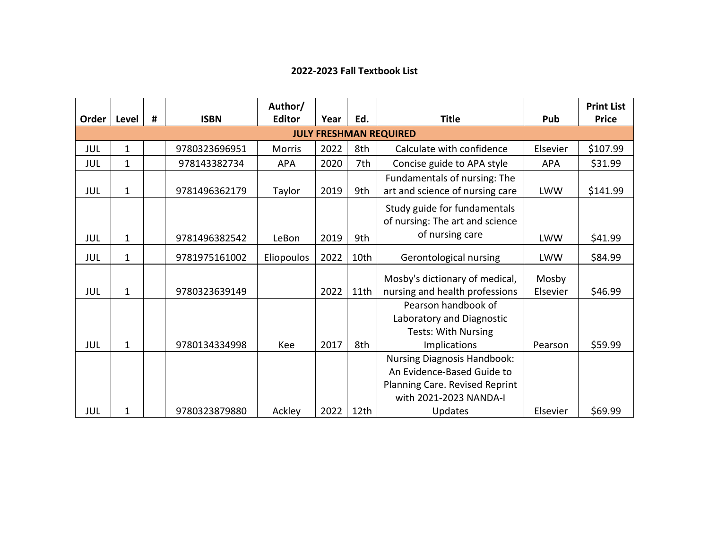## **2022-2023 Fall Textbook List**

|                               |              |   |               | Author/       |      |                  |                                                                                                                                                |                   | <b>Print List</b> |  |  |  |
|-------------------------------|--------------|---|---------------|---------------|------|------------------|------------------------------------------------------------------------------------------------------------------------------------------------|-------------------|-------------------|--|--|--|
| Order                         | Level        | # | <b>ISBN</b>   | <b>Editor</b> | Year | Ed.              | <b>Title</b>                                                                                                                                   | Pub               | <b>Price</b>      |  |  |  |
| <b>JULY FRESHMAN REQUIRED</b> |              |   |               |               |      |                  |                                                                                                                                                |                   |                   |  |  |  |
| JUL                           | 1            |   | 9780323696951 | <b>Morris</b> | 2022 | 8th              | Calculate with confidence                                                                                                                      | Elsevier          | \$107.99          |  |  |  |
| JUL                           | 1            |   | 978143382734  | <b>APA</b>    | 2020 | 7th              | Concise guide to APA style                                                                                                                     | <b>APA</b>        | \$31.99           |  |  |  |
| JUL                           | $\mathbf 1$  |   | 9781496362179 | Taylor        | 2019 | 9th              | Fundamentals of nursing: The<br>art and science of nursing care                                                                                | <b>LWW</b>        | \$141.99          |  |  |  |
|                               |              |   |               |               |      |                  | Study guide for fundamentals<br>of nursing: The art and science                                                                                |                   |                   |  |  |  |
| JUL                           | 1            |   | 9781496382542 | LeBon         | 2019 | 9th              | of nursing care                                                                                                                                | <b>LWW</b>        | \$41.99           |  |  |  |
| JUL                           | 1            |   | 9781975161002 | Eliopoulos    | 2022 | 10th             | Gerontological nursing                                                                                                                         | <b>LWW</b>        | \$84.99           |  |  |  |
| JUL                           | 1            |   | 9780323639149 |               | 2022 | 11th             | Mosby's dictionary of medical,<br>nursing and health professions                                                                               | Mosby<br>Elsevier | \$46.99           |  |  |  |
| JUL                           | $\mathbf{1}$ |   | 9780134334998 | Kee           | 2017 | 8th              | Pearson handbook of<br>Laboratory and Diagnostic<br><b>Tests: With Nursing</b><br>Implications                                                 | Pearson           | \$59.99           |  |  |  |
| JUL                           | 1            |   | 9780323879880 | Ackley        | 2022 | 12 <sub>th</sub> | <b>Nursing Diagnosis Handbook:</b><br>An Evidence-Based Guide to<br>Planning Care. Revised Reprint<br>with 2021-2023 NANDA-I<br><b>Updates</b> | Elsevier          | \$69.99           |  |  |  |